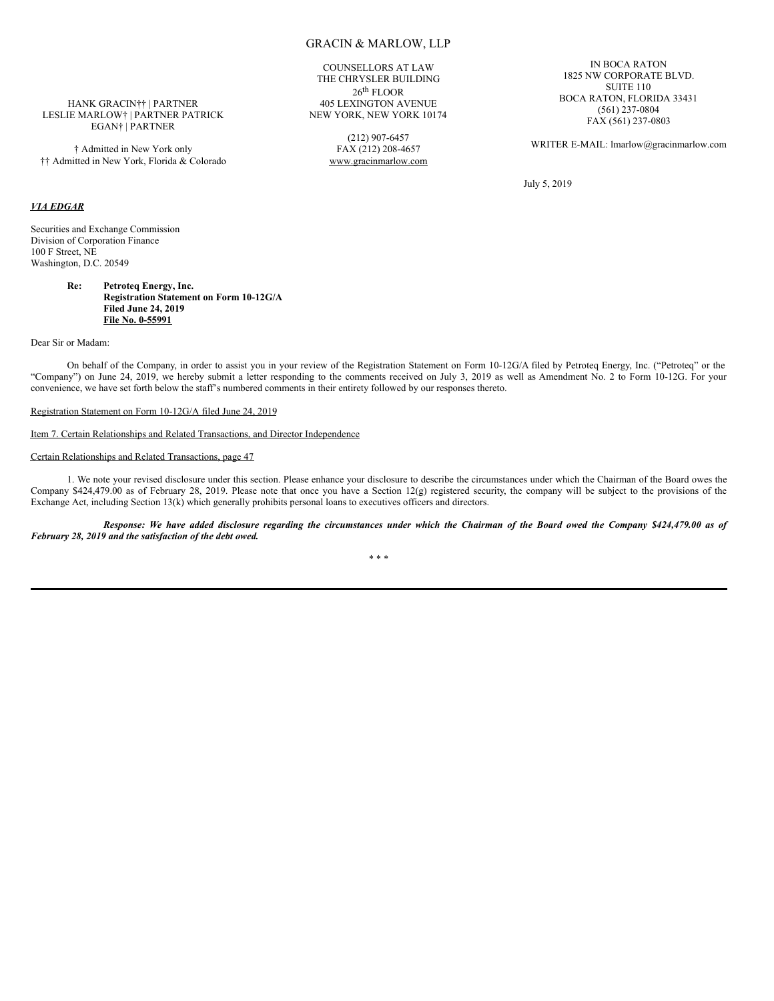COUNSELLORS AT LAW THE CHRYSLER BUILDING 26 th FLOOR 405 LEXINGTON AVENUE NEW YORK, NEW YORK 10174

> (212) 907-6457 FAX (212) 208-4657 www.gracinmarlow.com

IN BOCA RATON 1825 NW CORPORATE BLVD. SUITE 110 BOCA RATON, FLORIDA 33431 (561) 237-0804 FAX (561) 237-0803

WRITER E-MAIL: lmarlow@gracinmarlow.com

July 5, 2019

### HANK GRACIN†† | PARTNER LESLIE MARLOW† | PARTNER PATRICK EGAN† | PARTNER

† Admitted in New York only †† Admitted in New York, Florida & Colorado

# *VIA EDGAR*

Securities and Exchange Commission Division of Corporation Finance 100 F Street, NE Washington, D.C. 20549

#### **Re: Petroteq Energy, Inc. Registration Statement on Form 10-12G/A Filed June 24, 2019 File No. 0-55991**

Dear Sir or Madam:

On behalf of the Company, in order to assist you in your review of the Registration Statement on Form 10-12G/A filed by Petroteq Energy, Inc. ("Petroteq" or the "Company") on June 24, 2019, we hereby submit a letter responding to the comments received on July 3, 2019 as well as Amendment No. 2 to Form 10-12G. For your convenience, we have set forth below the staff's numbered comments in their entirety followed by our responses thereto.

### Registration Statement on Form 10-12G/A filed June 24, 2019

Item 7. Certain Relationships and Related Transactions, and Director Independence

### Certain Relationships and Related Transactions, page 47

1. We note your revised disclosure under this section. Please enhance your disclosure to describe the circumstances under which the Chairman of the Board owes the Company \$424,479.00 as of February 28, 2019. Please note that once you have a Section 12(g) registered security, the company will be subject to the provisions of the Exchange Act, including Section 13(k) which generally prohibits personal loans to executives officers and directors.

Response: We have added disclosure regarding the circumstances under which the Chairman of the Board owed the Company \$424,479.00 as of *February 28, 2019 and the satisfaction of the debt owed.*

\* \* \*